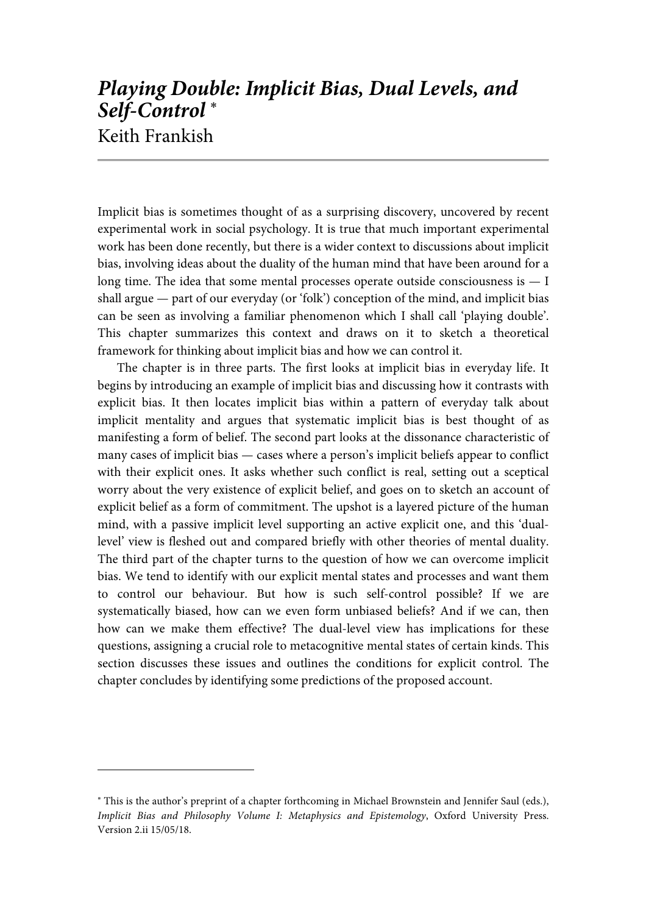# **Playing Double: Implicit Bias, Dual Levels, and Self-Control**  Keith Frankish

Implicit bias is sometimes thought of as a surprising discovery, uncovered by recent experimental work in social psychology. It is true that much important experimental work has been done recently, but there is a wider context to discussions about implicit bias, involving ideas about the duality of the human mind that have been around for a long time. The idea that some mental processes operate outside consciousness is  $-1$ shall argue — part of our everyday (or 'folk') conception of the mind, and implicit bias can be seen as involving a familiar phenomenon which I shall call 'playing double'. This chapter summarizes this context and draws on it to sketch a theoretical framework for thinking about implicit bias and how we can control it.

 The chapter is in three parts. The first looks at implicit bias in everyday life. It begins by introducing an example of implicit bias and discussing how it contrasts with explicit bias. It then locates implicit bias within a pattern of everyday talk about implicit mentality and argues that systematic implicit bias is best thought of as manifesting a form of belief. The second part looks at the dissonance characteristic of many cases of implicit bias — cases where a person's implicit beliefs appear to conflict with their explicit ones. It asks whether such conflict is real, setting out a sceptical worry about the very existence of explicit belief, and goes on to sketch an account of explicit belief as a form of commitment. The upshot is a layered picture of the human mind, with a passive implicit level supporting an active explicit one, and this 'duallevel' view is fleshed out and compared briefly with other theories of mental duality. The third part of the chapter turns to the question of how we can overcome implicit bias. We tend to identify with our explicit mental states and processes and want them to control our behaviour. But how is such self-control possible? If we are systematically biased, how can we even form unbiased beliefs? And if we can, then how can we make them effective? The dual-level view has implications for these questions, assigning a crucial role to metacognitive mental states of certain kinds. This section discusses these issues and outlines the conditions for explicit control. The chapter concludes by identifying some predictions of the proposed account.

I

 This is the author's preprint of a chapter forthcoming in Michael Brownstein and Jennifer Saul (eds.), Implicit Bias and Philosophy Volume I: Metaphysics and Epistemology, Oxford University Press. Version 2.ii 15/05/18.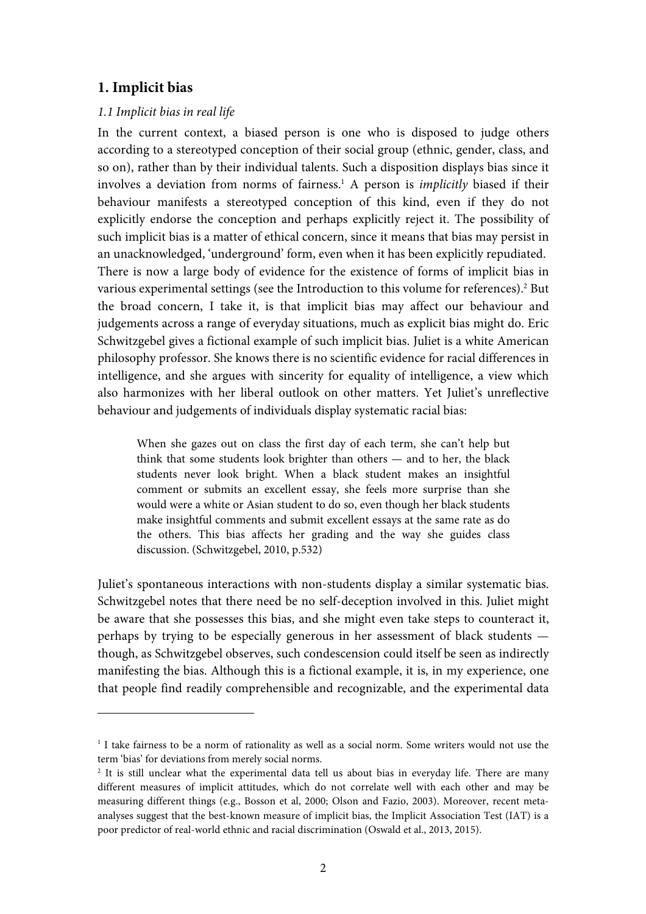# **1. Implicit bias**

 $\overline{a}$ 

#### 1.1 Implicit bias in real life

In the current context, a biased person is one who is disposed to judge others according to a stereotyped conception of their social group (ethnic, gender, class, and so on), rather than by their individual talents. Such a disposition displays bias since it involves a deviation from norms of fairness.<sup>1</sup> A person is *implicitly* biased if their behaviour manifests a stereotyped conception of this kind, even if they do not explicitly endorse the conception and perhaps explicitly reject it. The possibility of such implicit bias is a matter of ethical concern, since it means that bias may persist in an unacknowledged, 'underground' form, even when it has been explicitly repudiated. There is now a large body of evidence for the existence of forms of implicit bias in various experimental settings (see the Introduction to this volume for references).<sup>2</sup> But the broad concern, I take it, is that implicit bias may affect our behaviour and judgements across a range of everyday situations, much as explicit bias might do. Eric Schwitzgebel gives a fictional example of such implicit bias. Juliet is a white American philosophy professor. She knows there is no scientific evidence for racial differences in intelligence, and she argues with sincerity for equality of intelligence, a view which also harmonizes with her liberal outlook on other matters. Yet Juliet's unreflective behaviour and judgements of individuals display systematic racial bias:

When she gazes out on class the first day of each term, she can't help but think that some students look brighter than others — and to her, the black students never look bright. When a black student makes an insightful comment or submits an excellent essay, she feels more surprise than she would were a white or Asian student to do so, even though her black students make insightful comments and submit excellent essays at the same rate as do the others. This bias affects her grading and the way she guides class discussion. (Schwitzgebel, 2010, p.532)

Juliet's spontaneous interactions with non-students display a similar systematic bias. Schwitzgebel notes that there need be no self-deception involved in this. Juliet might be aware that she possesses this bias, and she might even take steps to counteract it, perhaps by trying to be especially generous in her assessment of black students though, as Schwitzgebel observes, such condescension could itself be seen as indirectly manifesting the bias. Although this is a fictional example, it is, in my experience, one that people find readily comprehensible and recognizable, and the experimental data

<sup>&</sup>lt;sup>1</sup> I take fairness to be a norm of rationality as well as a social norm. Some writers would not use the term 'bias' for deviations from merely social norms.

<sup>&</sup>lt;sup>2</sup> It is still unclear what the experimental data tell us about bias in everyday life. There are many different measures of implicit attitudes, which do not correlate well with each other and may be measuring different things (e.g., Bosson et al, 2000; Olson and Fazio, 2003). Moreover, recent metaanalyses suggest that the best-known measure of implicit bias, the Implicit Association Test (IAT) is a poor predictor of real-world ethnic and racial discrimination (Oswald et al., 2013, 2015).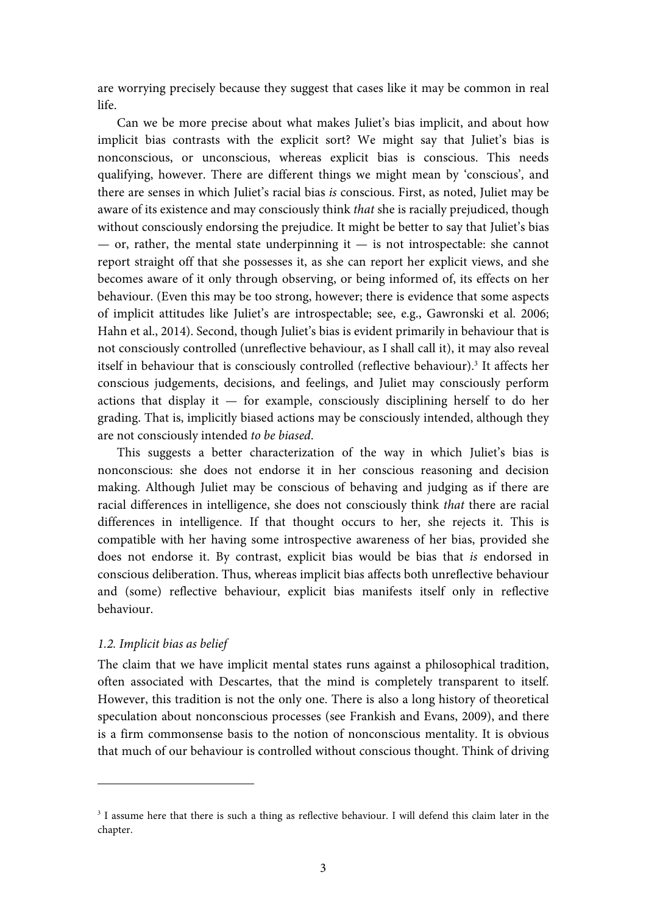are worrying precisely because they suggest that cases like it may be common in real life.

 Can we be more precise about what makes Juliet's bias implicit, and about how implicit bias contrasts with the explicit sort? We might say that Juliet's bias is nonconscious, or unconscious, whereas explicit bias is conscious. This needs qualifying, however. There are different things we might mean by 'conscious', and there are senses in which Juliet's racial bias is conscious. First, as noted, Juliet may be aware of its existence and may consciously think that she is racially prejudiced, though without consciously endorsing the prejudice. It might be better to say that Juliet's bias  $-$  or, rather, the mental state underpinning it  $-$  is not introspectable: she cannot report straight off that she possesses it, as she can report her explicit views, and she becomes aware of it only through observing, or being informed of, its effects on her behaviour. (Even this may be too strong, however; there is evidence that some aspects of implicit attitudes like Juliet's are introspectable; see, e.g., Gawronski et al. 2006; Hahn et al., 2014). Second, though Juliet's bias is evident primarily in behaviour that is not consciously controlled (unreflective behaviour, as I shall call it), it may also reveal itself in behaviour that is consciously controlled (reflective behaviour).<sup>3</sup> It affects her conscious judgements, decisions, and feelings, and Juliet may consciously perform actions that display it — for example, consciously disciplining herself to do her grading. That is, implicitly biased actions may be consciously intended, although they are not consciously intended to be biased.

 This suggests a better characterization of the way in which Juliet's bias is nonconscious: she does not endorse it in her conscious reasoning and decision making. Although Juliet may be conscious of behaving and judging as if there are racial differences in intelligence, she does not consciously think that there are racial differences in intelligence. If that thought occurs to her, she rejects it. This is compatible with her having some introspective awareness of her bias, provided she does not endorse it. By contrast, explicit bias would be bias that is endorsed in conscious deliberation. Thus, whereas implicit bias affects both unreflective behaviour and (some) reflective behaviour, explicit bias manifests itself only in reflective behaviour.

#### 1.2. Implicit bias as belief

 $\overline{a}$ 

The claim that we have implicit mental states runs against a philosophical tradition, often associated with Descartes, that the mind is completely transparent to itself. However, this tradition is not the only one. There is also a long history of theoretical speculation about nonconscious processes (see Frankish and Evans, 2009), and there is a firm commonsense basis to the notion of nonconscious mentality. It is obvious that much of our behaviour is controlled without conscious thought. Think of driving

<sup>&</sup>lt;sup>3</sup> I assume here that there is such a thing as reflective behaviour. I will defend this claim later in the chapter.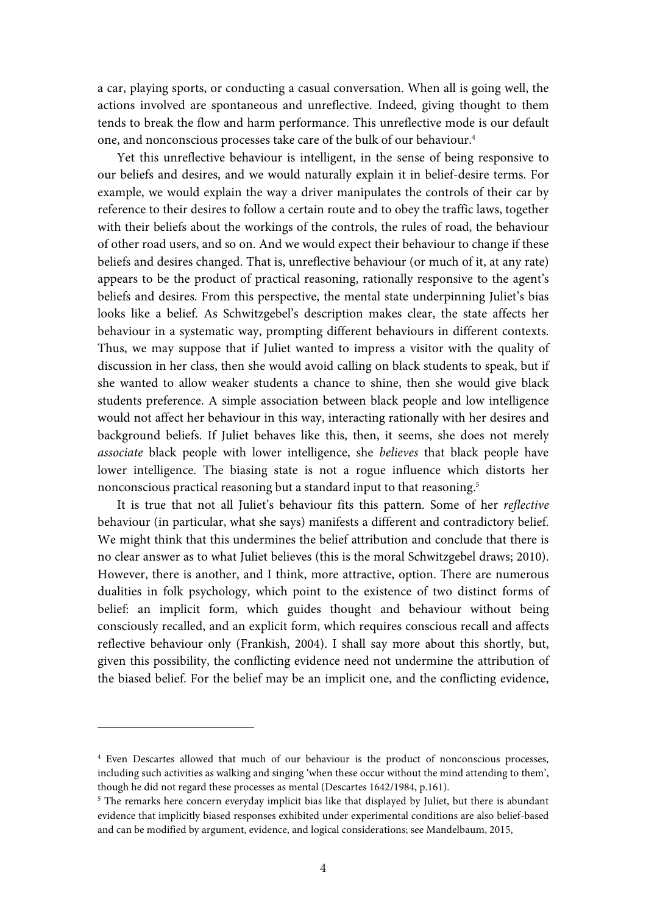a car, playing sports, or conducting a casual conversation. When all is going well, the actions involved are spontaneous and unreflective. Indeed, giving thought to them tends to break the flow and harm performance. This unreflective mode is our default one, and nonconscious processes take care of the bulk of our behaviour.<sup>4</sup>

 Yet this unreflective behaviour is intelligent, in the sense of being responsive to our beliefs and desires, and we would naturally explain it in belief-desire terms. For example, we would explain the way a driver manipulates the controls of their car by reference to their desires to follow a certain route and to obey the traffic laws, together with their beliefs about the workings of the controls, the rules of road, the behaviour of other road users, and so on. And we would expect their behaviour to change if these beliefs and desires changed. That is, unreflective behaviour (or much of it, at any rate) appears to be the product of practical reasoning, rationally responsive to the agent's beliefs and desires. From this perspective, the mental state underpinning Juliet's bias looks like a belief. As Schwitzgebel's description makes clear, the state affects her behaviour in a systematic way, prompting different behaviours in different contexts. Thus, we may suppose that if Juliet wanted to impress a visitor with the quality of discussion in her class, then she would avoid calling on black students to speak, but if she wanted to allow weaker students a chance to shine, then she would give black students preference. A simple association between black people and low intelligence would not affect her behaviour in this way, interacting rationally with her desires and background beliefs. If Juliet behaves like this, then, it seems, she does not merely associate black people with lower intelligence, she believes that black people have lower intelligence. The biasing state is not a rogue influence which distorts her nonconscious practical reasoning but a standard input to that reasoning.<sup>5</sup>

 It is true that not all Juliet's behaviour fits this pattern. Some of her reflective behaviour (in particular, what she says) manifests a different and contradictory belief. We might think that this undermines the belief attribution and conclude that there is no clear answer as to what Juliet believes (this is the moral Schwitzgebel draws; 2010). However, there is another, and I think, more attractive, option. There are numerous dualities in folk psychology, which point to the existence of two distinct forms of belief: an implicit form, which guides thought and behaviour without being consciously recalled, and an explicit form, which requires conscious recall and affects reflective behaviour only (Frankish, 2004). I shall say more about this shortly, but, given this possibility, the conflicting evidence need not undermine the attribution of the biased belief. For the belief may be an implicit one, and the conflicting evidence,

I

<sup>4</sup> Even Descartes allowed that much of our behaviour is the product of nonconscious processes, including such activities as walking and singing 'when these occur without the mind attending to them', though he did not regard these processes as mental (Descartes 1642/1984, p.161).

<sup>&</sup>lt;sup>5</sup> The remarks here concern everyday implicit bias like that displayed by Juliet, but there is abundant evidence that implicitly biased responses exhibited under experimental conditions are also belief-based and can be modified by argument, evidence, and logical considerations; see Mandelbaum, 2015,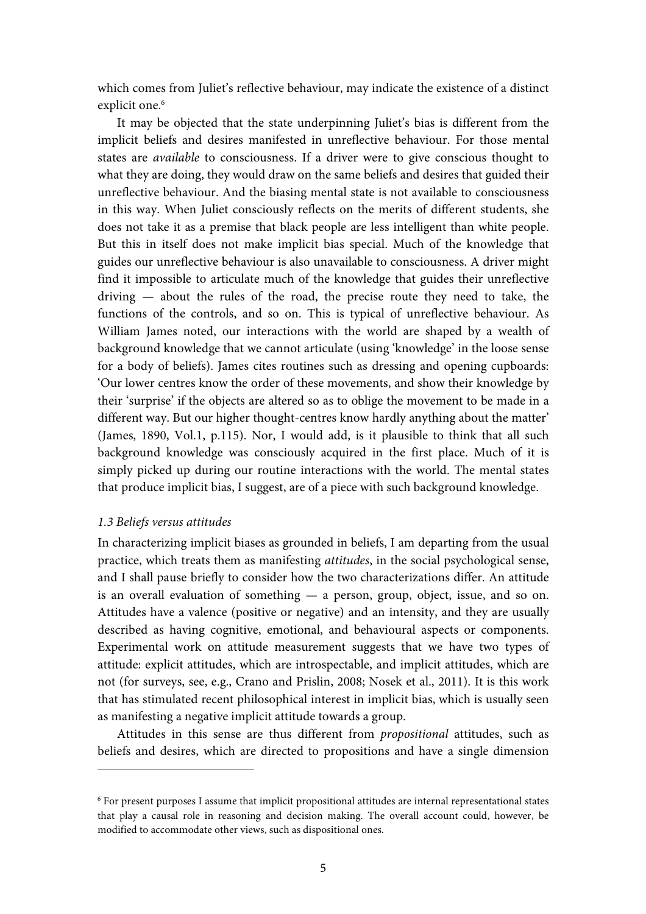which comes from Juliet's reflective behaviour, may indicate the existence of a distinct explicit one.<sup>6</sup>

 It may be objected that the state underpinning Juliet's bias is different from the implicit beliefs and desires manifested in unreflective behaviour. For those mental states are available to consciousness. If a driver were to give conscious thought to what they are doing, they would draw on the same beliefs and desires that guided their unreflective behaviour. And the biasing mental state is not available to consciousness in this way. When Juliet consciously reflects on the merits of different students, she does not take it as a premise that black people are less intelligent than white people. But this in itself does not make implicit bias special. Much of the knowledge that guides our unreflective behaviour is also unavailable to consciousness. A driver might find it impossible to articulate much of the knowledge that guides their unreflective driving — about the rules of the road, the precise route they need to take, the functions of the controls, and so on. This is typical of unreflective behaviour. As William James noted, our interactions with the world are shaped by a wealth of background knowledge that we cannot articulate (using 'knowledge' in the loose sense for a body of beliefs). James cites routines such as dressing and opening cupboards: 'Our lower centres know the order of these movements, and show their knowledge by their 'surprise' if the objects are altered so as to oblige the movement to be made in a different way. But our higher thought-centres know hardly anything about the matter' (James, 1890, Vol.1, p.115). Nor, I would add, is it plausible to think that all such background knowledge was consciously acquired in the first place. Much of it is simply picked up during our routine interactions with the world. The mental states that produce implicit bias, I suggest, are of a piece with such background knowledge.

## 1.3 Beliefs versus attitudes

I

In characterizing implicit biases as grounded in beliefs, I am departing from the usual practice, which treats them as manifesting attitudes, in the social psychological sense, and I shall pause briefly to consider how the two characterizations differ. An attitude is an overall evaluation of something — a person, group, object, issue, and so on. Attitudes have a valence (positive or negative) and an intensity, and they are usually described as having cognitive, emotional, and behavioural aspects or components. Experimental work on attitude measurement suggests that we have two types of attitude: explicit attitudes, which are introspectable, and implicit attitudes, which are not (for surveys, see, e.g., Crano and Prislin, 2008; Nosek et al., 2011). It is this work that has stimulated recent philosophical interest in implicit bias, which is usually seen as manifesting a negative implicit attitude towards a group.

 Attitudes in this sense are thus different from propositional attitudes, such as beliefs and desires, which are directed to propositions and have a single dimension

<sup>6</sup> For present purposes I assume that implicit propositional attitudes are internal representational states that play a causal role in reasoning and decision making. The overall account could, however, be modified to accommodate other views, such as dispositional ones.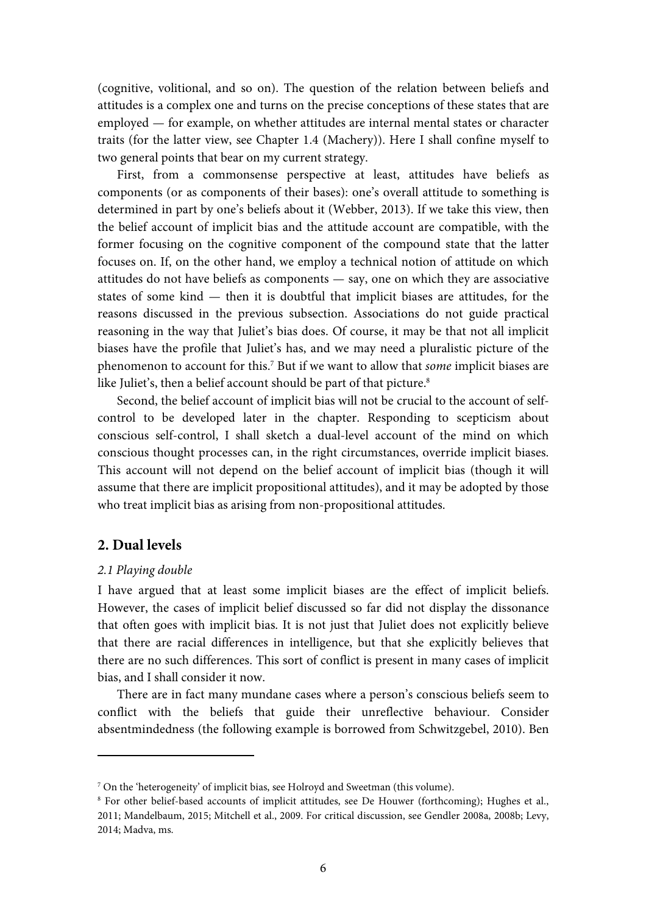(cognitive, volitional, and so on). The question of the relation between beliefs and attitudes is a complex one and turns on the precise conceptions of these states that are employed — for example, on whether attitudes are internal mental states or character traits (for the latter view, see Chapter 1.4 (Machery)). Here I shall confine myself to two general points that bear on my current strategy.

 First, from a commonsense perspective at least, attitudes have beliefs as components (or as components of their bases): one's overall attitude to something is determined in part by one's beliefs about it (Webber, 2013). If we take this view, then the belief account of implicit bias and the attitude account are compatible, with the former focusing on the cognitive component of the compound state that the latter focuses on. If, on the other hand, we employ a technical notion of attitude on which attitudes do not have beliefs as components — say, one on which they are associative states of some kind — then it is doubtful that implicit biases are attitudes, for the reasons discussed in the previous subsection. Associations do not guide practical reasoning in the way that Juliet's bias does. Of course, it may be that not all implicit biases have the profile that Juliet's has, and we may need a pluralistic picture of the phenomenon to account for this.<sup>7</sup> But if we want to allow that some implicit biases are like Juliet's, then a belief account should be part of that picture. $^8$ 

 Second, the belief account of implicit bias will not be crucial to the account of selfcontrol to be developed later in the chapter. Responding to scepticism about conscious self-control, I shall sketch a dual-level account of the mind on which conscious thought processes can, in the right circumstances, override implicit biases. This account will not depend on the belief account of implicit bias (though it will assume that there are implicit propositional attitudes), and it may be adopted by those who treat implicit bias as arising from non-propositional attitudes.

# **2. Dual levels**

 $\overline{a}$ 

#### 2.1 Playing double

I have argued that at least some implicit biases are the effect of implicit beliefs. However, the cases of implicit belief discussed so far did not display the dissonance that often goes with implicit bias. It is not just that Juliet does not explicitly believe that there are racial differences in intelligence, but that she explicitly believes that there are no such differences. This sort of conflict is present in many cases of implicit bias, and I shall consider it now.

 There are in fact many mundane cases where a person's conscious beliefs seem to conflict with the beliefs that guide their unreflective behaviour. Consider absentmindedness (the following example is borrowed from Schwitzgebel, 2010). Ben

<sup>7</sup> On the 'heterogeneity' of implicit bias, see Holroyd and Sweetman (this volume).

<sup>8</sup> For other belief-based accounts of implicit attitudes, see De Houwer (forthcoming); Hughes et al., 2011; Mandelbaum, 2015; Mitchell et al., 2009. For critical discussion, see Gendler 2008a, 2008b; Levy, 2014; Madva, ms.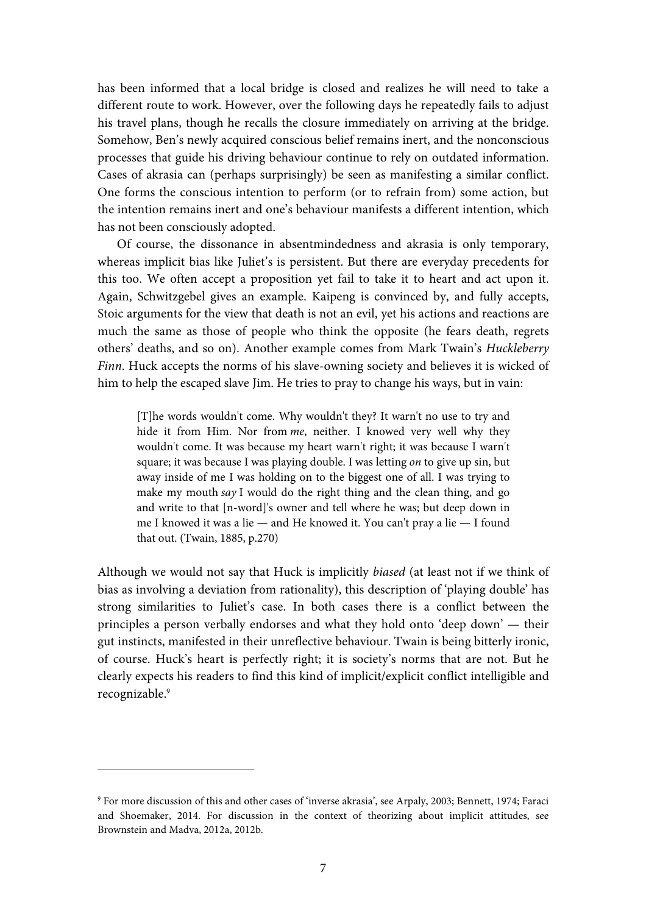has been informed that a local bridge is closed and realizes he will need to take a different route to work. However, over the following days he repeatedly fails to adjust his travel plans, though he recalls the closure immediately on arriving at the bridge. Somehow, Ben's newly acquired conscious belief remains inert, and the nonconscious processes that guide his driving behaviour continue to rely on outdated information. Cases of akrasia can (perhaps surprisingly) be seen as manifesting a similar conflict. One forms the conscious intention to perform (or to refrain from) some action, but the intention remains inert and one's behaviour manifests a different intention, which has not been consciously adopted.

 Of course, the dissonance in absentmindedness and akrasia is only temporary, whereas implicit bias like Juliet's is persistent. But there are everyday precedents for this too. We often accept a proposition yet fail to take it to heart and act upon it. Again, Schwitzgebel gives an example. Kaipeng is convinced by, and fully accepts, Stoic arguments for the view that death is not an evil, yet his actions and reactions are much the same as those of people who think the opposite (he fears death, regrets others' deaths, and so on). Another example comes from Mark Twain's Huckleberry Finn. Huck accepts the norms of his slave-owning society and believes it is wicked of him to help the escaped slave Jim. He tries to pray to change his ways, but in vain:

[T]he words wouldn't come. Why wouldn't they? It warn't no use to try and hide it from Him. Nor from me, neither. I knowed very well why they wouldn't come. It was because my heart warn't right; it was because I warn't square; it was because I was playing double. I was letting on to give up sin, but away inside of me I was holding on to the biggest one of all. I was trying to make my mouth say I would do the right thing and the clean thing, and go and write to that [n-word]'s owner and tell where he was; but deep down in me I knowed it was a lie — and He knowed it. You can't pray a lie — I found that out. (Twain, 1885, p.270)

Although we would not say that Huck is implicitly biased (at least not if we think of bias as involving a deviation from rationality), this description of 'playing double' has strong similarities to Juliet's case. In both cases there is a conflict between the principles a person verbally endorses and what they hold onto 'deep down' — their gut instincts, manifested in their unreflective behaviour. Twain is being bitterly ironic, of course. Huck's heart is perfectly right; it is society's norms that are not. But he clearly expects his readers to find this kind of implicit/explicit conflict intelligible and recognizable.<sup>9</sup>

I

<sup>9</sup> For more discussion of this and other cases of 'inverse akrasia', see Arpaly, 2003; Bennett, 1974; Faraci and Shoemaker, 2014. For discussion in the context of theorizing about implicit attitudes, see Brownstein and Madva, 2012a, 2012b.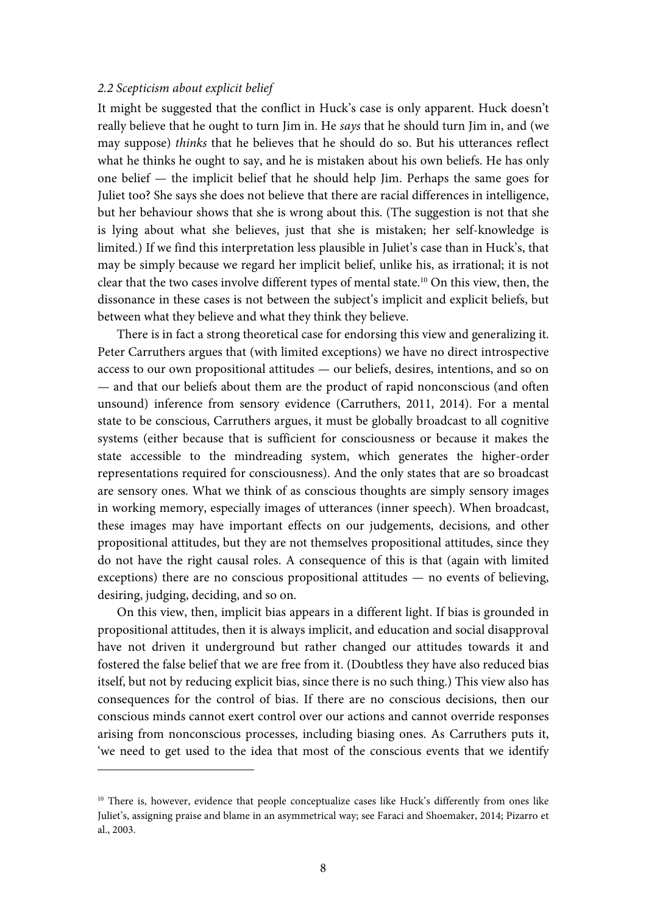#### 2.2 Scepticism about explicit belief

I

It might be suggested that the conflict in Huck's case is only apparent. Huck doesn't really believe that he ought to turn Jim in. He says that he should turn Jim in, and (we may suppose) thinks that he believes that he should do so. But his utterances reflect what he thinks he ought to say, and he is mistaken about his own beliefs. He has only one belief — the implicit belief that he should help Jim. Perhaps the same goes for Juliet too? She says she does not believe that there are racial differences in intelligence, but her behaviour shows that she is wrong about this. (The suggestion is not that she is lying about what she believes, just that she is mistaken; her self-knowledge is limited.) If we find this interpretation less plausible in Juliet's case than in Huck's, that may be simply because we regard her implicit belief, unlike his, as irrational; it is not clear that the two cases involve different types of mental state.<sup>10</sup> On this view, then, the dissonance in these cases is not between the subject's implicit and explicit beliefs, but between what they believe and what they think they believe.

 There is in fact a strong theoretical case for endorsing this view and generalizing it. Peter Carruthers argues that (with limited exceptions) we have no direct introspective access to our own propositional attitudes — our beliefs, desires, intentions, and so on — and that our beliefs about them are the product of rapid nonconscious (and often unsound) inference from sensory evidence (Carruthers, 2011, 2014). For a mental state to be conscious, Carruthers argues, it must be globally broadcast to all cognitive systems (either because that is sufficient for consciousness or because it makes the state accessible to the mindreading system, which generates the higher-order representations required for consciousness). And the only states that are so broadcast are sensory ones. What we think of as conscious thoughts are simply sensory images in working memory, especially images of utterances (inner speech). When broadcast, these images may have important effects on our judgements, decisions, and other propositional attitudes, but they are not themselves propositional attitudes, since they do not have the right causal roles. A consequence of this is that (again with limited exceptions) there are no conscious propositional attitudes — no events of believing, desiring, judging, deciding, and so on.

 On this view, then, implicit bias appears in a different light. If bias is grounded in propositional attitudes, then it is always implicit, and education and social disapproval have not driven it underground but rather changed our attitudes towards it and fostered the false belief that we are free from it. (Doubtless they have also reduced bias itself, but not by reducing explicit bias, since there is no such thing.) This view also has consequences for the control of bias. If there are no conscious decisions, then our conscious minds cannot exert control over our actions and cannot override responses arising from nonconscious processes, including biasing ones. As Carruthers puts it, 'we need to get used to the idea that most of the conscious events that we identify

<sup>&</sup>lt;sup>10</sup> There is, however, evidence that people conceptualize cases like Huck's differently from ones like Juliet's, assigning praise and blame in an asymmetrical way; see Faraci and Shoemaker, 2014; Pizarro et al., 2003.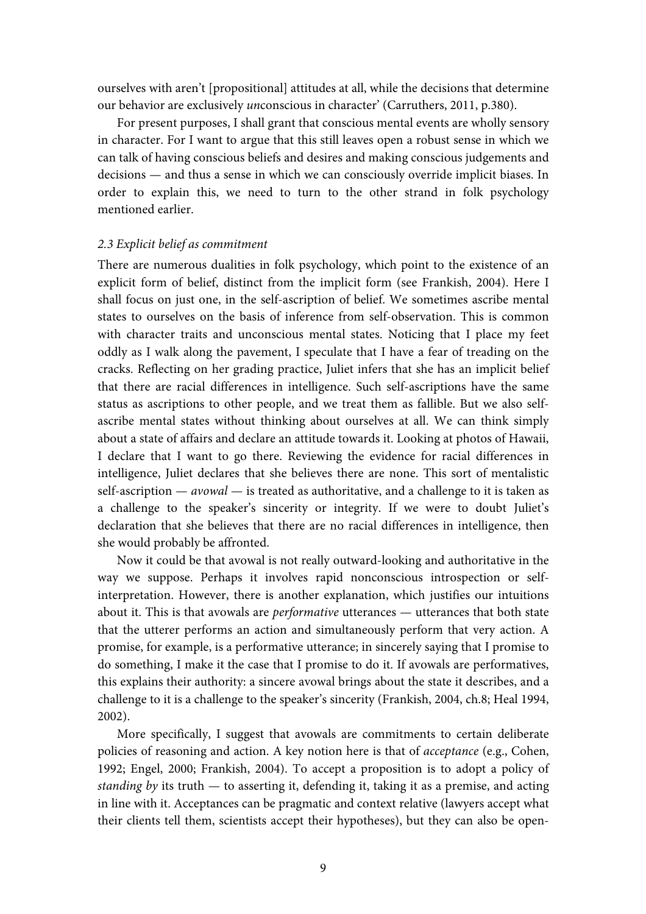ourselves with aren't [propositional] attitudes at all, while the decisions that determine our behavior are exclusively unconscious in character' (Carruthers, 2011, p.380).

 For present purposes, I shall grant that conscious mental events are wholly sensory in character. For I want to argue that this still leaves open a robust sense in which we can talk of having conscious beliefs and desires and making conscious judgements and decisions — and thus a sense in which we can consciously override implicit biases. In order to explain this, we need to turn to the other strand in folk psychology mentioned earlier.

## 2.3 Explicit belief as commitment

There are numerous dualities in folk psychology, which point to the existence of an explicit form of belief, distinct from the implicit form (see Frankish, 2004). Here I shall focus on just one, in the self-ascription of belief. We sometimes ascribe mental states to ourselves on the basis of inference from self-observation. This is common with character traits and unconscious mental states. Noticing that I place my feet oddly as I walk along the pavement, I speculate that I have a fear of treading on the cracks. Reflecting on her grading practice, Juliet infers that she has an implicit belief that there are racial differences in intelligence. Such self-ascriptions have the same status as ascriptions to other people, and we treat them as fallible. But we also selfascribe mental states without thinking about ourselves at all. We can think simply about a state of affairs and declare an attitude towards it. Looking at photos of Hawaii, I declare that I want to go there. Reviewing the evidence for racial differences in intelligence, Juliet declares that she believes there are none. This sort of mentalistic self-ascription  $-$  avowal  $-$  is treated as authoritative, and a challenge to it is taken as a challenge to the speaker's sincerity or integrity. If we were to doubt Juliet's declaration that she believes that there are no racial differences in intelligence, then she would probably be affronted.

 Now it could be that avowal is not really outward-looking and authoritative in the way we suppose. Perhaps it involves rapid nonconscious introspection or selfinterpretation. However, there is another explanation, which justifies our intuitions about it. This is that avowals are performative utterances — utterances that both state that the utterer performs an action and simultaneously perform that very action. A promise, for example, is a performative utterance; in sincerely saying that I promise to do something, I make it the case that I promise to do it. If avowals are performatives, this explains their authority: a sincere avowal brings about the state it describes, and a challenge to it is a challenge to the speaker's sincerity (Frankish, 2004, ch.8; Heal 1994, 2002).

 More specifically, I suggest that avowals are commitments to certain deliberate policies of reasoning and action. A key notion here is that of acceptance (e.g., Cohen, 1992; Engel, 2000; Frankish, 2004). To accept a proposition is to adopt a policy of standing by its truth  $-$  to asserting it, defending it, taking it as a premise, and acting in line with it. Acceptances can be pragmatic and context relative (lawyers accept what their clients tell them, scientists accept their hypotheses), but they can also be open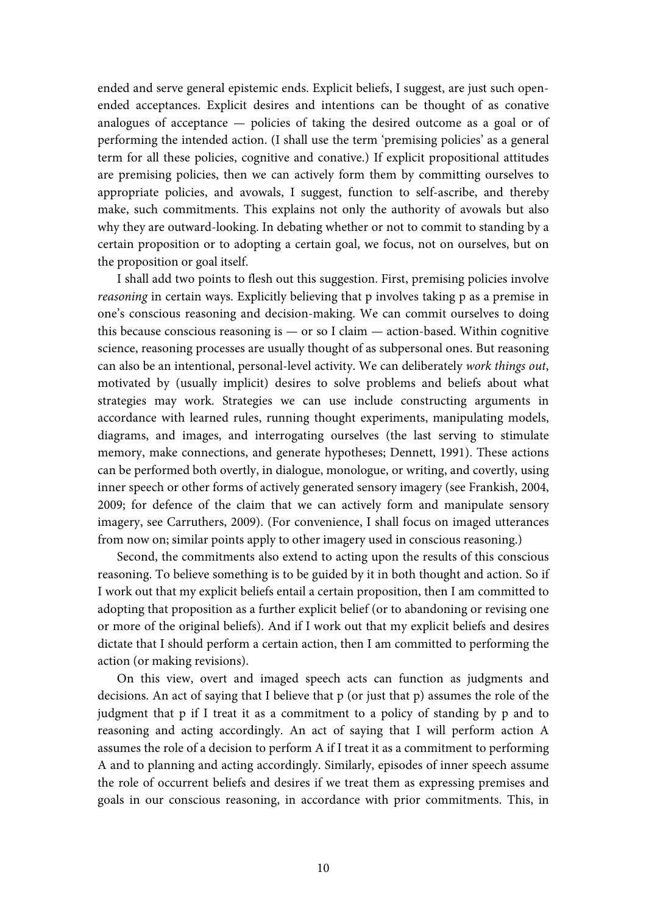ended and serve general epistemic ends. Explicit beliefs, I suggest, are just such openended acceptances. Explicit desires and intentions can be thought of as conative analogues of acceptance — policies of taking the desired outcome as a goal or of performing the intended action. (I shall use the term 'premising policies' as a general term for all these policies, cognitive and conative.) If explicit propositional attitudes are premising policies, then we can actively form them by committing ourselves to appropriate policies, and avowals, I suggest, function to self-ascribe, and thereby make, such commitments. This explains not only the authority of avowals but also why they are outward-looking. In debating whether or not to commit to standing by a certain proposition or to adopting a certain goal, we focus, not on ourselves, but on the proposition or goal itself.

 I shall add two points to flesh out this suggestion. First, premising policies involve reasoning in certain ways. Explicitly believing that p involves taking p as a premise in one's conscious reasoning and decision-making. We can commit ourselves to doing this because conscious reasoning is  $-$  or so I claim  $-$  action-based. Within cognitive science, reasoning processes are usually thought of as subpersonal ones. But reasoning can also be an intentional, personal-level activity. We can deliberately work things out, motivated by (usually implicit) desires to solve problems and beliefs about what strategies may work. Strategies we can use include constructing arguments in accordance with learned rules, running thought experiments, manipulating models, diagrams, and images, and interrogating ourselves (the last serving to stimulate memory, make connections, and generate hypotheses; Dennett, 1991). These actions can be performed both overtly, in dialogue, monologue, or writing, and covertly, using inner speech or other forms of actively generated sensory imagery (see Frankish, 2004, 2009; for defence of the claim that we can actively form and manipulate sensory imagery, see Carruthers, 2009). (For convenience, I shall focus on imaged utterances from now on; similar points apply to other imagery used in conscious reasoning.)

 Second, the commitments also extend to acting upon the results of this conscious reasoning. To believe something is to be guided by it in both thought and action. So if I work out that my explicit beliefs entail a certain proposition, then I am committed to adopting that proposition as a further explicit belief (or to abandoning or revising one or more of the original beliefs). And if I work out that my explicit beliefs and desires dictate that I should perform a certain action, then I am committed to performing the action (or making revisions).

 On this view, overt and imaged speech acts can function as judgments and decisions. An act of saying that I believe that p (or just that p) assumes the role of the judgment that p if I treat it as a commitment to a policy of standing by p and to reasoning and acting accordingly. An act of saying that I will perform action A assumes the role of a decision to perform A if I treat it as a commitment to performing A and to planning and acting accordingly. Similarly, episodes of inner speech assume the role of occurrent beliefs and desires if we treat them as expressing premises and goals in our conscious reasoning, in accordance with prior commitments. This, in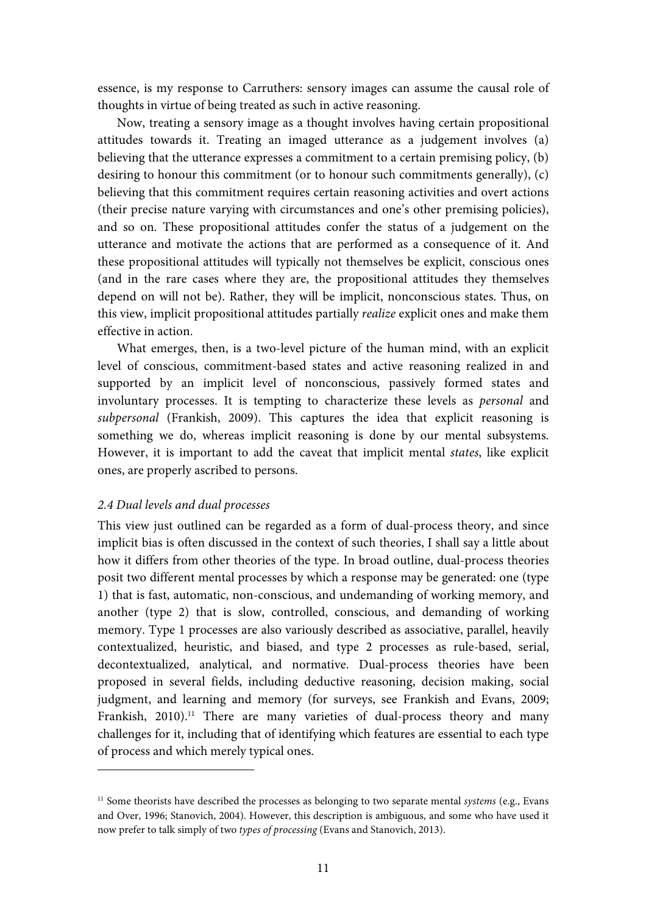essence, is my response to Carruthers: sensory images can assume the causal role of thoughts in virtue of being treated as such in active reasoning.

 Now, treating a sensory image as a thought involves having certain propositional attitudes towards it. Treating an imaged utterance as a judgement involves (a) believing that the utterance expresses a commitment to a certain premising policy, (b) desiring to honour this commitment (or to honour such commitments generally), (c) believing that this commitment requires certain reasoning activities and overt actions (their precise nature varying with circumstances and one's other premising policies), and so on. These propositional attitudes confer the status of a judgement on the utterance and motivate the actions that are performed as a consequence of it. And these propositional attitudes will typically not themselves be explicit, conscious ones (and in the rare cases where they are, the propositional attitudes they themselves depend on will not be). Rather, they will be implicit, nonconscious states. Thus, on this view, implicit propositional attitudes partially realize explicit ones and make them effective in action.

 What emerges, then, is a two-level picture of the human mind, with an explicit level of conscious, commitment-based states and active reasoning realized in and supported by an implicit level of nonconscious, passively formed states and involuntary processes. It is tempting to characterize these levels as personal and subpersonal (Frankish, 2009). This captures the idea that explicit reasoning is something we do, whereas implicit reasoning is done by our mental subsystems. However, it is important to add the caveat that implicit mental states, like explicit ones, are properly ascribed to persons.

## 2.4 Dual levels and dual processes

I

This view just outlined can be regarded as a form of dual-process theory, and since implicit bias is often discussed in the context of such theories, I shall say a little about how it differs from other theories of the type. In broad outline, dual-process theories posit two different mental processes by which a response may be generated: one (type 1) that is fast, automatic, non-conscious, and undemanding of working memory, and another (type 2) that is slow, controlled, conscious, and demanding of working memory. Type 1 processes are also variously described as associative, parallel, heavily contextualized, heuristic, and biased, and type 2 processes as rule-based, serial, decontextualized, analytical, and normative. Dual-process theories have been proposed in several fields, including deductive reasoning, decision making, social judgment, and learning and memory (for surveys, see Frankish and Evans, 2009; Frankish, 2010).<sup>11</sup> There are many varieties of dual-process theory and many challenges for it, including that of identifying which features are essential to each type of process and which merely typical ones.

 $11$  Some theorists have described the processes as belonging to two separate mental systems (e.g., Evans and Over, 1996; Stanovich, 2004). However, this description is ambiguous, and some who have used it now prefer to talk simply of two types of processing (Evans and Stanovich, 2013).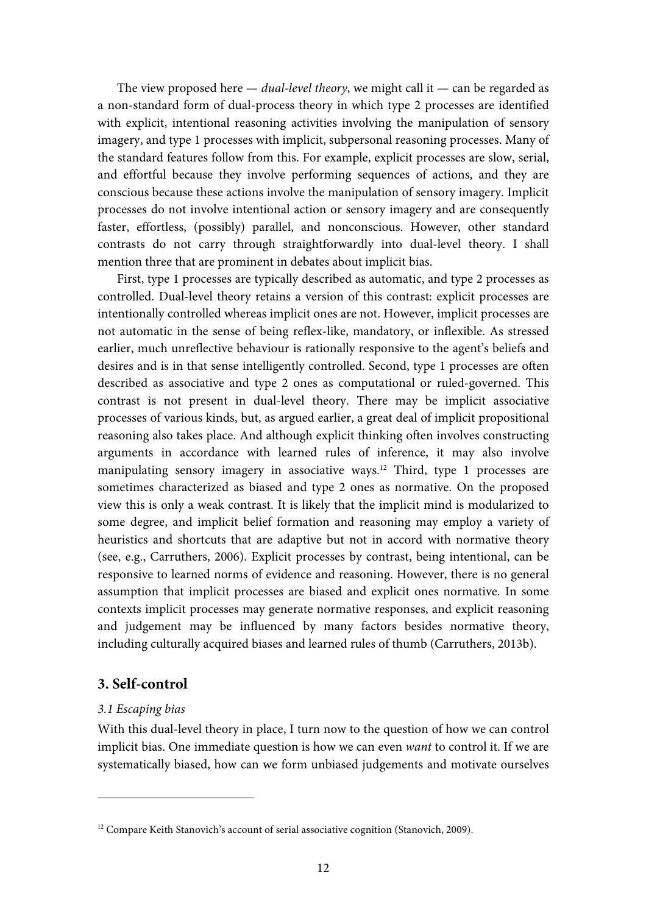The view proposed here  $-$  dual-level theory, we might call it  $-$  can be regarded as a non-standard form of dual-process theory in which type 2 processes are identified with explicit, intentional reasoning activities involving the manipulation of sensory imagery, and type 1 processes with implicit, subpersonal reasoning processes. Many of the standard features follow from this. For example, explicit processes are slow, serial, and effortful because they involve performing sequences of actions, and they are conscious because these actions involve the manipulation of sensory imagery. Implicit processes do not involve intentional action or sensory imagery and are consequently faster, effortless, (possibly) parallel, and nonconscious. However, other standard contrasts do not carry through straightforwardly into dual-level theory. I shall mention three that are prominent in debates about implicit bias.

 First, type 1 processes are typically described as automatic, and type 2 processes as controlled. Dual-level theory retains a version of this contrast: explicit processes are intentionally controlled whereas implicit ones are not. However, implicit processes are not automatic in the sense of being reflex-like, mandatory, or inflexible. As stressed earlier, much unreflective behaviour is rationally responsive to the agent's beliefs and desires and is in that sense intelligently controlled. Second, type 1 processes are often described as associative and type 2 ones as computational or ruled-governed. This contrast is not present in dual-level theory. There may be implicit associative processes of various kinds, but, as argued earlier, a great deal of implicit propositional reasoning also takes place. And although explicit thinking often involves constructing arguments in accordance with learned rules of inference, it may also involve manipulating sensory imagery in associative ways.<sup>12</sup> Third, type 1 processes are sometimes characterized as biased and type 2 ones as normative. On the proposed view this is only a weak contrast. It is likely that the implicit mind is modularized to some degree, and implicit belief formation and reasoning may employ a variety of heuristics and shortcuts that are adaptive but not in accord with normative theory (see, e.g., Carruthers, 2006). Explicit processes by contrast, being intentional, can be responsive to learned norms of evidence and reasoning. However, there is no general assumption that implicit processes are biased and explicit ones normative. In some contexts implicit processes may generate normative responses, and explicit reasoning and judgement may be influenced by many factors besides normative theory, including culturally acquired biases and learned rules of thumb (Carruthers, 2013b).

# **3. Self-control**

## 3.1 Escaping bias

 $\overline{a}$ 

With this dual-level theory in place, I turn now to the question of how we can control implicit bias. One immediate question is how we can even *want* to control it. If we are systematically biased, how can we form unbiased judgements and motivate ourselves

<sup>&</sup>lt;sup>12</sup> Compare Keith Stanovich's account of serial associative cognition (Stanovich, 2009).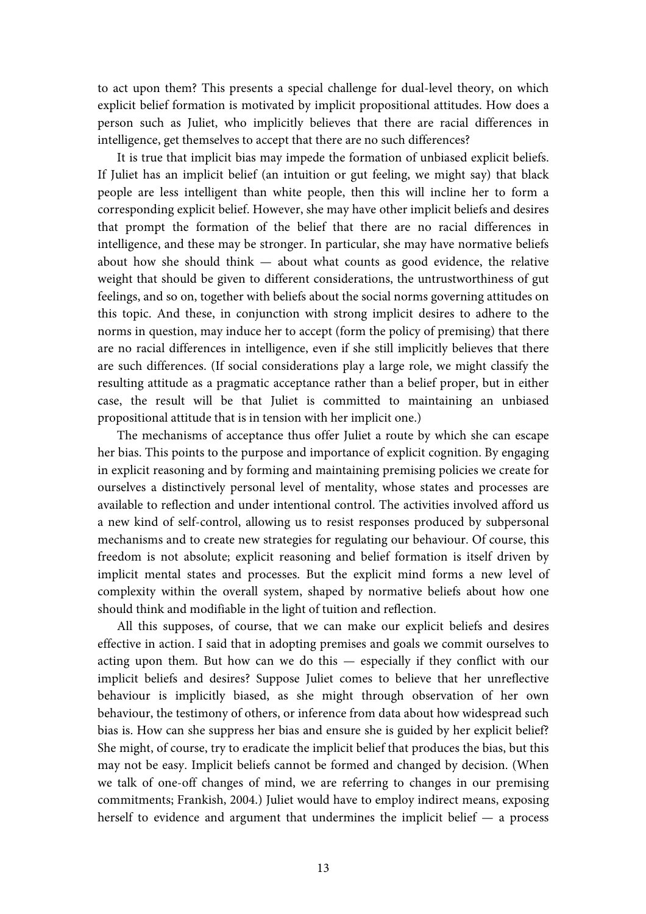to act upon them? This presents a special challenge for dual-level theory, on which explicit belief formation is motivated by implicit propositional attitudes. How does a person such as Juliet, who implicitly believes that there are racial differences in intelligence, get themselves to accept that there are no such differences?

 It is true that implicit bias may impede the formation of unbiased explicit beliefs. If Juliet has an implicit belief (an intuition or gut feeling, we might say) that black people are less intelligent than white people, then this will incline her to form a corresponding explicit belief. However, she may have other implicit beliefs and desires that prompt the formation of the belief that there are no racial differences in intelligence, and these may be stronger. In particular, she may have normative beliefs about how she should think — about what counts as good evidence, the relative weight that should be given to different considerations, the untrustworthiness of gut feelings, and so on, together with beliefs about the social norms governing attitudes on this topic. And these, in conjunction with strong implicit desires to adhere to the norms in question, may induce her to accept (form the policy of premising) that there are no racial differences in intelligence, even if she still implicitly believes that there are such differences. (If social considerations play a large role, we might classify the resulting attitude as a pragmatic acceptance rather than a belief proper, but in either case, the result will be that Juliet is committed to maintaining an unbiased propositional attitude that is in tension with her implicit one.)

 The mechanisms of acceptance thus offer Juliet a route by which she can escape her bias. This points to the purpose and importance of explicit cognition. By engaging in explicit reasoning and by forming and maintaining premising policies we create for ourselves a distinctively personal level of mentality, whose states and processes are available to reflection and under intentional control. The activities involved afford us a new kind of self-control, allowing us to resist responses produced by subpersonal mechanisms and to create new strategies for regulating our behaviour. Of course, this freedom is not absolute; explicit reasoning and belief formation is itself driven by implicit mental states and processes. But the explicit mind forms a new level of complexity within the overall system, shaped by normative beliefs about how one should think and modifiable in the light of tuition and reflection.

 All this supposes, of course, that we can make our explicit beliefs and desires effective in action. I said that in adopting premises and goals we commit ourselves to acting upon them. But how can we do this — especially if they conflict with our implicit beliefs and desires? Suppose Juliet comes to believe that her unreflective behaviour is implicitly biased, as she might through observation of her own behaviour, the testimony of others, or inference from data about how widespread such bias is. How can she suppress her bias and ensure she is guided by her explicit belief? She might, of course, try to eradicate the implicit belief that produces the bias, but this may not be easy. Implicit beliefs cannot be formed and changed by decision. (When we talk of one-off changes of mind, we are referring to changes in our premising commitments; Frankish, 2004.) Juliet would have to employ indirect means, exposing herself to evidence and argument that undermines the implicit belief — a process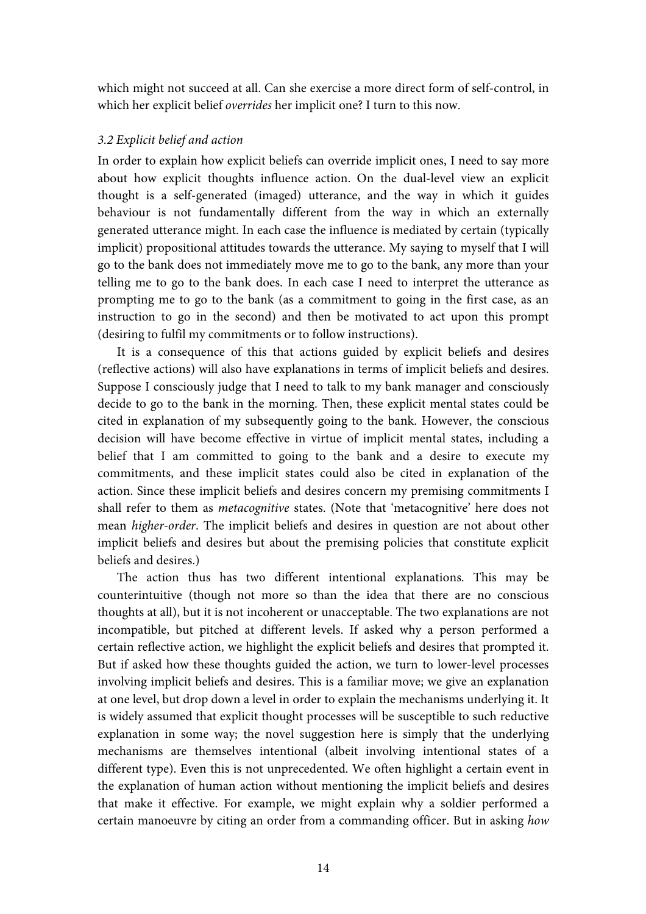which might not succeed at all. Can she exercise a more direct form of self-control, in which her explicit belief overrides her implicit one? I turn to this now.

## 3.2 Explicit belief and action

In order to explain how explicit beliefs can override implicit ones, I need to say more about how explicit thoughts influence action. On the dual-level view an explicit thought is a self-generated (imaged) utterance, and the way in which it guides behaviour is not fundamentally different from the way in which an externally generated utterance might. In each case the influence is mediated by certain (typically implicit) propositional attitudes towards the utterance. My saying to myself that I will go to the bank does not immediately move me to go to the bank, any more than your telling me to go to the bank does. In each case I need to interpret the utterance as prompting me to go to the bank (as a commitment to going in the first case, as an instruction to go in the second) and then be motivated to act upon this prompt (desiring to fulfil my commitments or to follow instructions).

 It is a consequence of this that actions guided by explicit beliefs and desires (reflective actions) will also have explanations in terms of implicit beliefs and desires. Suppose I consciously judge that I need to talk to my bank manager and consciously decide to go to the bank in the morning. Then, these explicit mental states could be cited in explanation of my subsequently going to the bank. However, the conscious decision will have become effective in virtue of implicit mental states, including a belief that I am committed to going to the bank and a desire to execute my commitments, and these implicit states could also be cited in explanation of the action. Since these implicit beliefs and desires concern my premising commitments I shall refer to them as metacognitive states. (Note that 'metacognitive' here does not mean higher-order. The implicit beliefs and desires in question are not about other implicit beliefs and desires but about the premising policies that constitute explicit beliefs and desires.)

 The action thus has two different intentional explanations. This may be counterintuitive (though not more so than the idea that there are no conscious thoughts at all), but it is not incoherent or unacceptable. The two explanations are not incompatible, but pitched at different levels. If asked why a person performed a certain reflective action, we highlight the explicit beliefs and desires that prompted it. But if asked how these thoughts guided the action, we turn to lower-level processes involving implicit beliefs and desires. This is a familiar move; we give an explanation at one level, but drop down a level in order to explain the mechanisms underlying it. It is widely assumed that explicit thought processes will be susceptible to such reductive explanation in some way; the novel suggestion here is simply that the underlying mechanisms are themselves intentional (albeit involving intentional states of a different type). Even this is not unprecedented. We often highlight a certain event in the explanation of human action without mentioning the implicit beliefs and desires that make it effective. For example, we might explain why a soldier performed a certain manoeuvre by citing an order from a commanding officer. But in asking how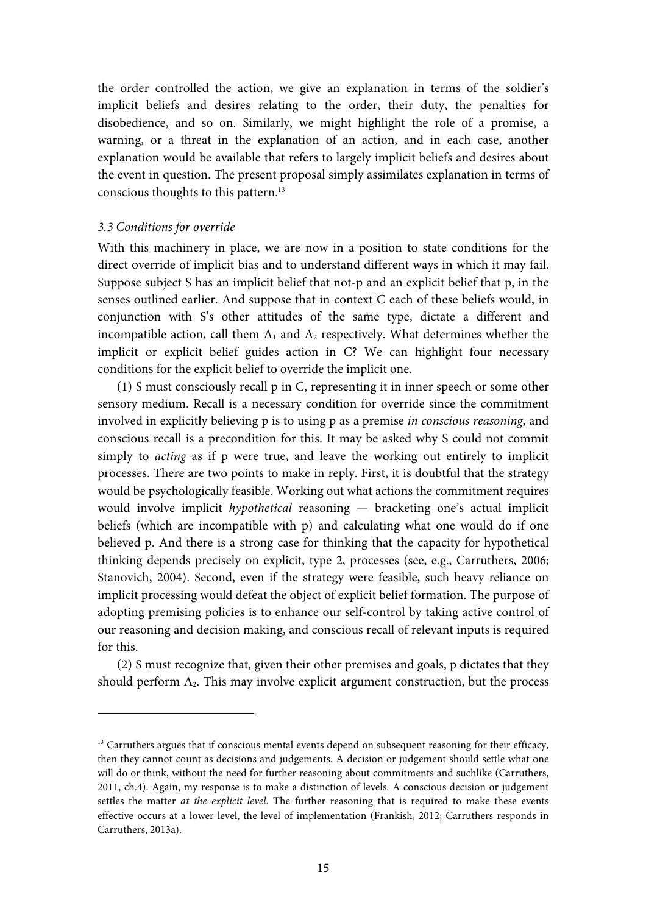the order controlled the action, we give an explanation in terms of the soldier's implicit beliefs and desires relating to the order, their duty, the penalties for disobedience, and so on. Similarly, we might highlight the role of a promise, a warning, or a threat in the explanation of an action, and in each case, another explanation would be available that refers to largely implicit beliefs and desires about the event in question. The present proposal simply assimilates explanation in terms of conscious thoughts to this pattern.<sup>13</sup>

#### 3.3 Conditions for override

 $\overline{a}$ 

With this machinery in place, we are now in a position to state conditions for the direct override of implicit bias and to understand different ways in which it may fail. Suppose subject S has an implicit belief that not-p and an explicit belief that p, in the senses outlined earlier. And suppose that in context C each of these beliefs would, in conjunction with S's other attitudes of the same type, dictate a different and incompatible action, call them  $A_1$  and  $A_2$  respectively. What determines whether the implicit or explicit belief guides action in C? We can highlight four necessary conditions for the explicit belief to override the implicit one.

 (1) S must consciously recall p in C, representing it in inner speech or some other sensory medium. Recall is a necessary condition for override since the commitment involved in explicitly believing p is to using p as a premise in conscious reasoning, and conscious recall is a precondition for this. It may be asked why S could not commit simply to acting as if p were true, and leave the working out entirely to implicit processes. There are two points to make in reply. First, it is doubtful that the strategy would be psychologically feasible. Working out what actions the commitment requires would involve implicit hypothetical reasoning — bracketing one's actual implicit beliefs (which are incompatible with p) and calculating what one would do if one believed p. And there is a strong case for thinking that the capacity for hypothetical thinking depends precisely on explicit, type 2, processes (see, e.g., Carruthers, 2006; Stanovich, 2004). Second, even if the strategy were feasible, such heavy reliance on implicit processing would defeat the object of explicit belief formation. The purpose of adopting premising policies is to enhance our self-control by taking active control of our reasoning and decision making, and conscious recall of relevant inputs is required for this.

 (2) S must recognize that, given their other premises and goals, p dictates that they should perform  $A_2$ . This may involve explicit argument construction, but the process

<sup>&</sup>lt;sup>13</sup> Carruthers argues that if conscious mental events depend on subsequent reasoning for their efficacy, then they cannot count as decisions and judgements. A decision or judgement should settle what one will do or think, without the need for further reasoning about commitments and suchlike (Carruthers, 2011, ch.4). Again, my response is to make a distinction of levels. A conscious decision or judgement settles the matter at the explicit level. The further reasoning that is required to make these events effective occurs at a lower level, the level of implementation (Frankish, 2012; Carruthers responds in Carruthers, 2013a).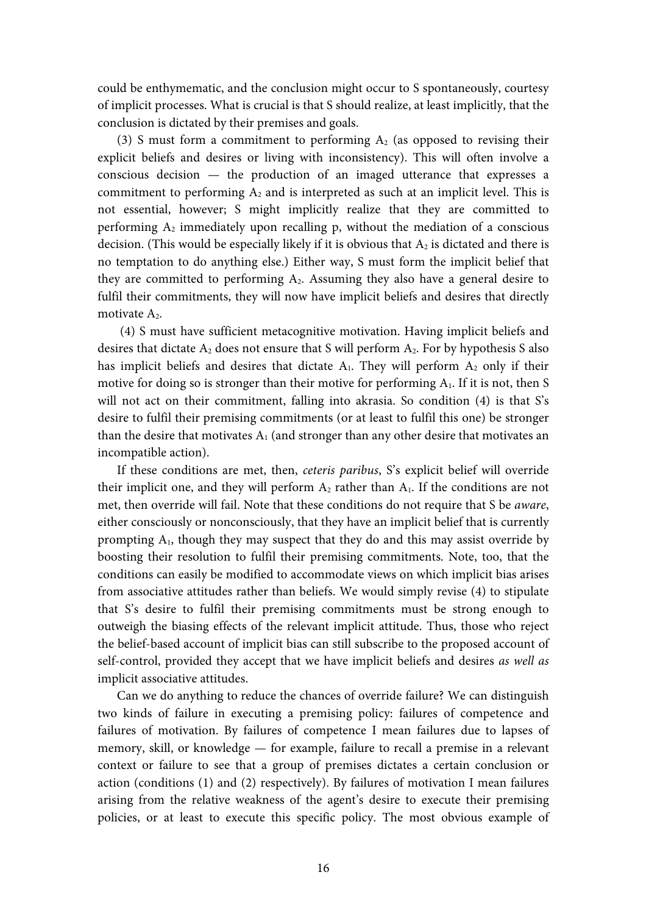could be enthymematic, and the conclusion might occur to S spontaneously, courtesy of implicit processes. What is crucial is that S should realize, at least implicitly, that the conclusion is dictated by their premises and goals.

(3) S must form a commitment to performing  $A_2$  (as opposed to revising their explicit beliefs and desires or living with inconsistency). This will often involve a conscious decision — the production of an imaged utterance that expresses a commitment to performing  $A_2$  and is interpreted as such at an implicit level. This is not essential, however; S might implicitly realize that they are committed to performing  $A_2$  immediately upon recalling p, without the mediation of a conscious decision. (This would be especially likely if it is obvious that  $A_2$  is dictated and there is no temptation to do anything else.) Either way, S must form the implicit belief that they are committed to performing  $A_2$ . Assuming they also have a general desire to fulfil their commitments, they will now have implicit beliefs and desires that directly motivate  $A<sub>2</sub>$ .

 (4) S must have sufficient metacognitive motivation. Having implicit beliefs and desires that dictate  $A_2$  does not ensure that S will perform  $A_2$ . For by hypothesis S also has implicit beliefs and desires that dictate  $A_1$ . They will perform  $A_2$  only if their motive for doing so is stronger than their motive for performing  $A<sub>1</sub>$ . If it is not, then S will not act on their commitment, falling into akrasia. So condition (4) is that S's desire to fulfil their premising commitments (or at least to fulfil this one) be stronger than the desire that motivates  $A_1$  (and stronger than any other desire that motivates an incompatible action).

 If these conditions are met, then, ceteris paribus, S's explicit belief will override their implicit one, and they will perform  $A_2$  rather than  $A_1$ . If the conditions are not met, then override will fail. Note that these conditions do not require that S be aware, either consciously or nonconsciously, that they have an implicit belief that is currently prompting  $A_1$ , though they may suspect that they do and this may assist override by boosting their resolution to fulfil their premising commitments. Note, too, that the conditions can easily be modified to accommodate views on which implicit bias arises from associative attitudes rather than beliefs. We would simply revise (4) to stipulate that S's desire to fulfil their premising commitments must be strong enough to outweigh the biasing effects of the relevant implicit attitude. Thus, those who reject the belief-based account of implicit bias can still subscribe to the proposed account of self-control, provided they accept that we have implicit beliefs and desires as well as implicit associative attitudes.

 Can we do anything to reduce the chances of override failure? We can distinguish two kinds of failure in executing a premising policy: failures of competence and failures of motivation. By failures of competence I mean failures due to lapses of memory, skill, or knowledge — for example, failure to recall a premise in a relevant context or failure to see that a group of premises dictates a certain conclusion or action (conditions (1) and (2) respectively). By failures of motivation I mean failures arising from the relative weakness of the agent's desire to execute their premising policies, or at least to execute this specific policy. The most obvious example of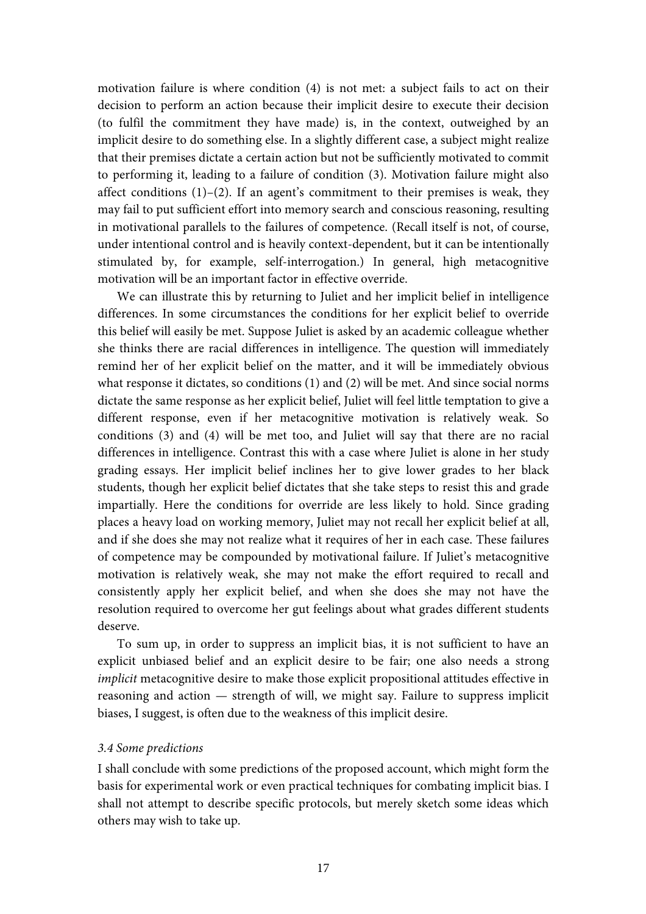motivation failure is where condition (4) is not met: a subject fails to act on their decision to perform an action because their implicit desire to execute their decision (to fulfil the commitment they have made) is, in the context, outweighed by an implicit desire to do something else. In a slightly different case, a subject might realize that their premises dictate a certain action but not be sufficiently motivated to commit to performing it, leading to a failure of condition (3). Motivation failure might also affect conditions  $(1)$ – $(2)$ . If an agent's commitment to their premises is weak, they may fail to put sufficient effort into memory search and conscious reasoning, resulting in motivational parallels to the failures of competence. (Recall itself is not, of course, under intentional control and is heavily context-dependent, but it can be intentionally stimulated by, for example, self-interrogation.) In general, high metacognitive motivation will be an important factor in effective override.

 We can illustrate this by returning to Juliet and her implicit belief in intelligence differences. In some circumstances the conditions for her explicit belief to override this belief will easily be met. Suppose Juliet is asked by an academic colleague whether she thinks there are racial differences in intelligence. The question will immediately remind her of her explicit belief on the matter, and it will be immediately obvious what response it dictates, so conditions (1) and (2) will be met. And since social norms dictate the same response as her explicit belief, Juliet will feel little temptation to give a different response, even if her metacognitive motivation is relatively weak. So conditions (3) and (4) will be met too, and Juliet will say that there are no racial differences in intelligence. Contrast this with a case where Juliet is alone in her study grading essays. Her implicit belief inclines her to give lower grades to her black students, though her explicit belief dictates that she take steps to resist this and grade impartially. Here the conditions for override are less likely to hold. Since grading places a heavy load on working memory, Juliet may not recall her explicit belief at all, and if she does she may not realize what it requires of her in each case. These failures of competence may be compounded by motivational failure. If Juliet's metacognitive motivation is relatively weak, she may not make the effort required to recall and consistently apply her explicit belief, and when she does she may not have the resolution required to overcome her gut feelings about what grades different students deserve.

 To sum up, in order to suppress an implicit bias, it is not sufficient to have an explicit unbiased belief and an explicit desire to be fair; one also needs a strong implicit metacognitive desire to make those explicit propositional attitudes effective in reasoning and action — strength of will, we might say. Failure to suppress implicit biases, I suggest, is often due to the weakness of this implicit desire.

#### 3.4 Some predictions

I shall conclude with some predictions of the proposed account, which might form the basis for experimental work or even practical techniques for combating implicit bias. I shall not attempt to describe specific protocols, but merely sketch some ideas which others may wish to take up.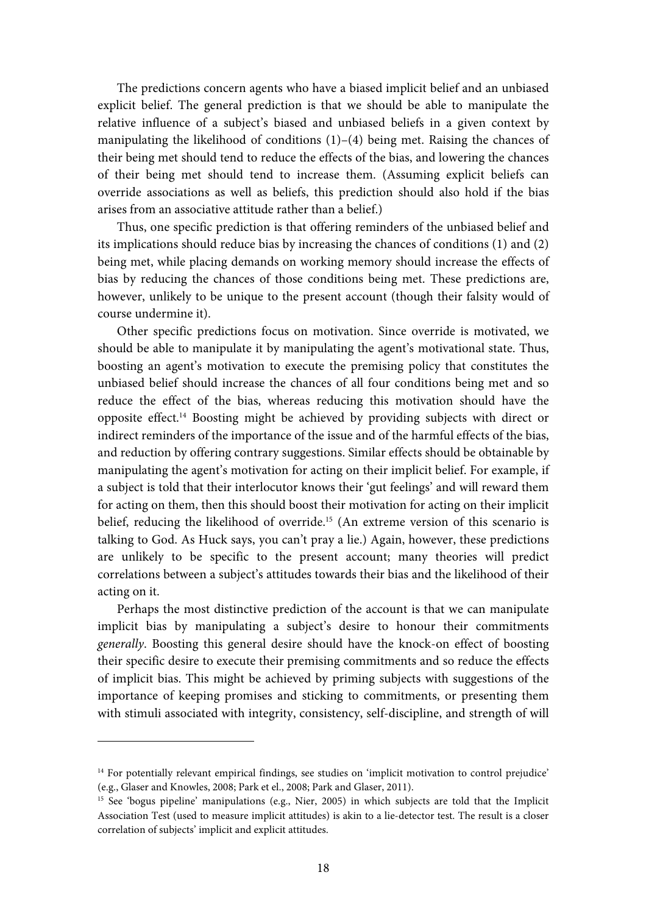The predictions concern agents who have a biased implicit belief and an unbiased explicit belief. The general prediction is that we should be able to manipulate the relative influence of a subject's biased and unbiased beliefs in a given context by manipulating the likelihood of conditions (1)–(4) being met. Raising the chances of their being met should tend to reduce the effects of the bias, and lowering the chances of their being met should tend to increase them. (Assuming explicit beliefs can override associations as well as beliefs, this prediction should also hold if the bias arises from an associative attitude rather than a belief.)

 Thus, one specific prediction is that offering reminders of the unbiased belief and its implications should reduce bias by increasing the chances of conditions (1) and (2) being met, while placing demands on working memory should increase the effects of bias by reducing the chances of those conditions being met. These predictions are, however, unlikely to be unique to the present account (though their falsity would of course undermine it).

 Other specific predictions focus on motivation. Since override is motivated, we should be able to manipulate it by manipulating the agent's motivational state. Thus, boosting an agent's motivation to execute the premising policy that constitutes the unbiased belief should increase the chances of all four conditions being met and so reduce the effect of the bias, whereas reducing this motivation should have the opposite effect.<sup>14</sup> Boosting might be achieved by providing subjects with direct or indirect reminders of the importance of the issue and of the harmful effects of the bias, and reduction by offering contrary suggestions. Similar effects should be obtainable by manipulating the agent's motivation for acting on their implicit belief. For example, if a subject is told that their interlocutor knows their 'gut feelings' and will reward them for acting on them, then this should boost their motivation for acting on their implicit belief, reducing the likelihood of override.<sup>15</sup> (An extreme version of this scenario is talking to God. As Huck says, you can't pray a lie.) Again, however, these predictions are unlikely to be specific to the present account; many theories will predict correlations between a subject's attitudes towards their bias and the likelihood of their acting on it.

 Perhaps the most distinctive prediction of the account is that we can manipulate implicit bias by manipulating a subject's desire to honour their commitments generally. Boosting this general desire should have the knock-on effect of boosting their specific desire to execute their premising commitments and so reduce the effects of implicit bias. This might be achieved by priming subjects with suggestions of the importance of keeping promises and sticking to commitments, or presenting them with stimuli associated with integrity, consistency, self-discipline, and strength of will

 $\overline{a}$ 

<sup>14</sup> For potentially relevant empirical findings, see studies on 'implicit motivation to control prejudice' (e.g., Glaser and Knowles, 2008; Park et el., 2008; Park and Glaser, 2011).

<sup>15</sup> See 'bogus pipeline' manipulations (e.g., Nier, 2005) in which subjects are told that the Implicit Association Test (used to measure implicit attitudes) is akin to a lie-detector test. The result is a closer correlation of subjects' implicit and explicit attitudes.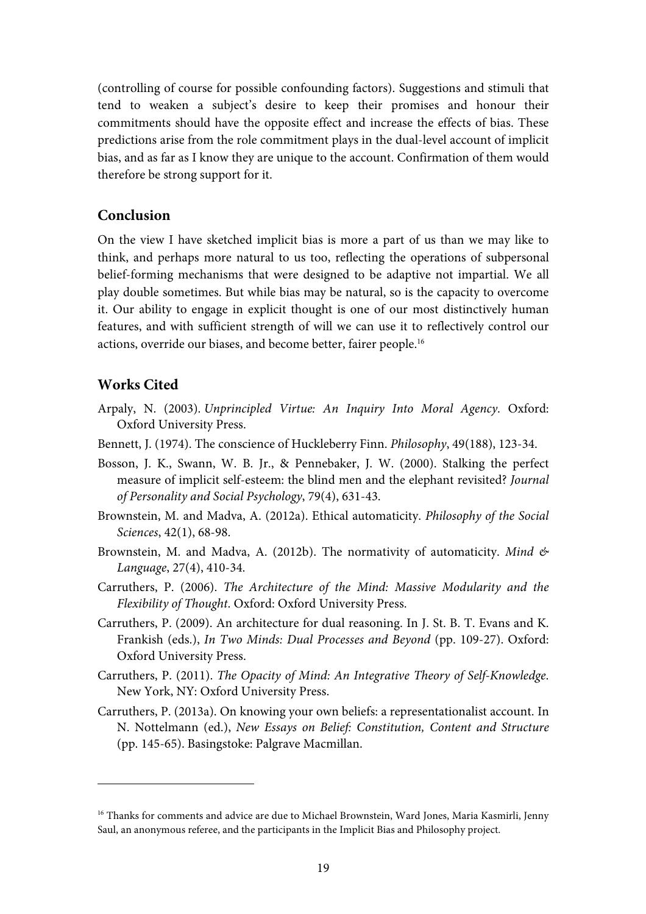(controlling of course for possible confounding factors). Suggestions and stimuli that tend to weaken a subject's desire to keep their promises and honour their commitments should have the opposite effect and increase the effects of bias. These predictions arise from the role commitment plays in the dual-level account of implicit bias, and as far as I know they are unique to the account. Confirmation of them would therefore be strong support for it.

# **Conclusion**

On the view I have sketched implicit bias is more a part of us than we may like to think, and perhaps more natural to us too, reflecting the operations of subpersonal belief-forming mechanisms that were designed to be adaptive not impartial. We all play double sometimes. But while bias may be natural, so is the capacity to overcome it. Our ability to engage in explicit thought is one of our most distinctively human features, and with sufficient strength of will we can use it to reflectively control our actions, override our biases, and become better, fairer people.<sup>16</sup>

## **Works Cited**

 $\overline{a}$ 

- Arpaly, N. (2003). Unprincipled Virtue: An Inquiry Into Moral Agency. Oxford: Oxford University Press.
- Bennett, J. (1974). The conscience of Huckleberry Finn. Philosophy, 49(188), 123-34.
- Bosson, J. K., Swann, W. B. Jr., & Pennebaker, J. W. (2000). Stalking the perfect measure of implicit self-esteem: the blind men and the elephant revisited? Journal of Personality and Social Psychology, 79(4), 631-43.
- Brownstein, M. and Madva, A. (2012a). Ethical automaticity. Philosophy of the Social Sciences, 42(1), 68-98.
- Brownstein, M. and Madva, A. (2012b). The normativity of automaticity. Mind  $\mathfrak{G}$ Language, 27(4), 410-34.
- Carruthers, P. (2006). The Architecture of the Mind: Massive Modularity and the Flexibility of Thought. Oxford: Oxford University Press.
- Carruthers, P. (2009). An architecture for dual reasoning. In J. St. B. T. Evans and K. Frankish (eds.), In Two Minds: Dual Processes and Beyond (pp. 109-27). Oxford: Oxford University Press.
- Carruthers, P. (2011). The Opacity of Mind: An Integrative Theory of Self-Knowledge. New York, NY: Oxford University Press.
- Carruthers, P. (2013a). On knowing your own beliefs: a representationalist account. In N. Nottelmann (ed.), New Essays on Belief: Constitution, Content and Structure (pp. 145-65). Basingstoke: Palgrave Macmillan.

<sup>&</sup>lt;sup>16</sup> Thanks for comments and advice are due to Michael Brownstein, Ward Jones, Maria Kasmirli, Jenny Saul, an anonymous referee, and the participants in the Implicit Bias and Philosophy project.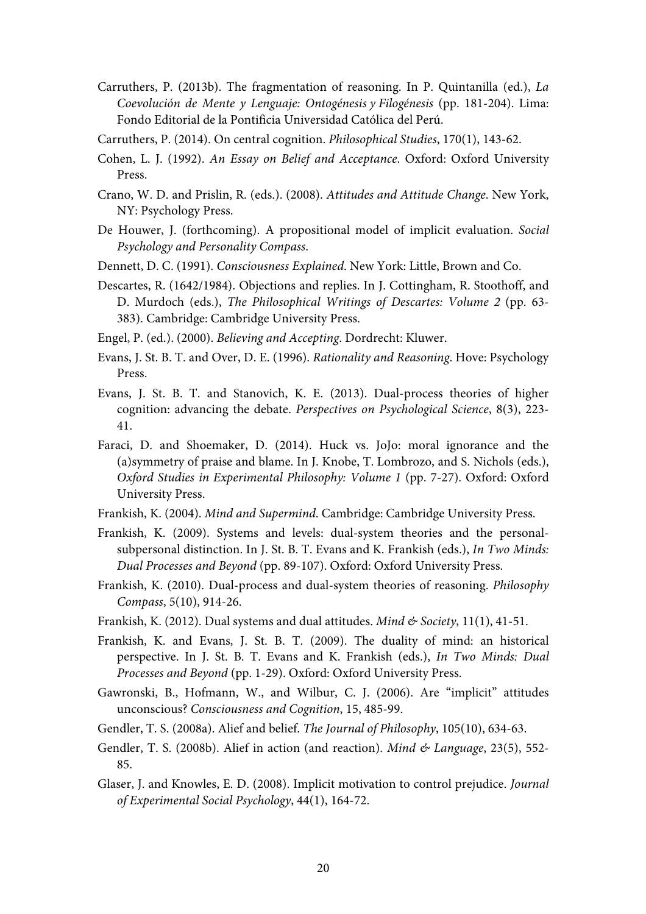- Carruthers, P. (2013b). The fragmentation of reasoning. In P. Quintanilla (ed.), La Coevolución de Mente y Lenguaje: Ontogénesis y Filogénesis (pp. 181-204). Lima: Fondo Editorial de la Pontificia Universidad Católica del Perú.
- Carruthers, P. (2014). On central cognition. Philosophical Studies, 170(1), 143-62.
- Cohen, L. J. (1992). An Essay on Belief and Acceptance. Oxford: Oxford University Press.
- Crano, W. D. and Prislin, R. (eds.). (2008). Attitudes and Attitude Change. New York, NY: Psychology Press.
- De Houwer, J. (forthcoming). A propositional model of implicit evaluation. Social Psychology and Personality Compass.
- Dennett, D. C. (1991). Consciousness Explained. New York: Little, Brown and Co.
- Descartes, R. (1642/1984). Objections and replies. In J. Cottingham, R. Stoothoff, and D. Murdoch (eds.), The Philosophical Writings of Descartes: Volume 2 (pp. 63- 383). Cambridge: Cambridge University Press.
- Engel, P. (ed.). (2000). Believing and Accepting. Dordrecht: Kluwer.
- Evans, J. St. B. T. and Over, D. E. (1996). Rationality and Reasoning. Hove: Psychology Press.
- Evans, J. St. B. T. and Stanovich, K. E. (2013). Dual-process theories of higher cognition: advancing the debate. Perspectives on Psychological Science, 8(3), 223- 41.
- Faraci, D. and Shoemaker, D. (2014). Huck vs. JoJo: moral ignorance and the (a)symmetry of praise and blame. In J. Knobe, T. Lombrozo, and S. Nichols (eds.), Oxford Studies in Experimental Philosophy: Volume 1 (pp. 7-27). Oxford: Oxford University Press.
- Frankish, K. (2004). Mind and Supermind. Cambridge: Cambridge University Press.
- Frankish, K. (2009). Systems and levels: dual-system theories and the personalsubpersonal distinction. In J. St. B. T. Evans and K. Frankish (eds.), In Two Minds: Dual Processes and Beyond (pp. 89-107). Oxford: Oxford University Press.
- Frankish, K. (2010). Dual-process and dual-system theories of reasoning. Philosophy Compass, 5(10), 914-26.
- Frankish, K. (2012). Dual systems and dual attitudes. Mind & Society,  $11(1)$ ,  $41-51$ .
- Frankish, K. and Evans, J. St. B. T. (2009). The duality of mind: an historical perspective. In J. St. B. T. Evans and K. Frankish (eds.), In Two Minds: Dual Processes and Beyond (pp. 1-29). Oxford: Oxford University Press.
- Gawronski, B., Hofmann, W., and Wilbur, C. J. (2006). Are "implicit" attitudes unconscious? Consciousness and Cognition, 15, 485-99.
- Gendler, T. S. (2008a). Alief and belief. The Journal of Philosophy, 105(10), 634-63.
- Gendler, T. S. (2008b). Alief in action (and reaction). Mind & Language, 23(5), 552-85.
- Glaser, J. and Knowles, E. D. (2008). Implicit motivation to control prejudice. Journal of Experimental Social Psychology, 44(1), 164-72.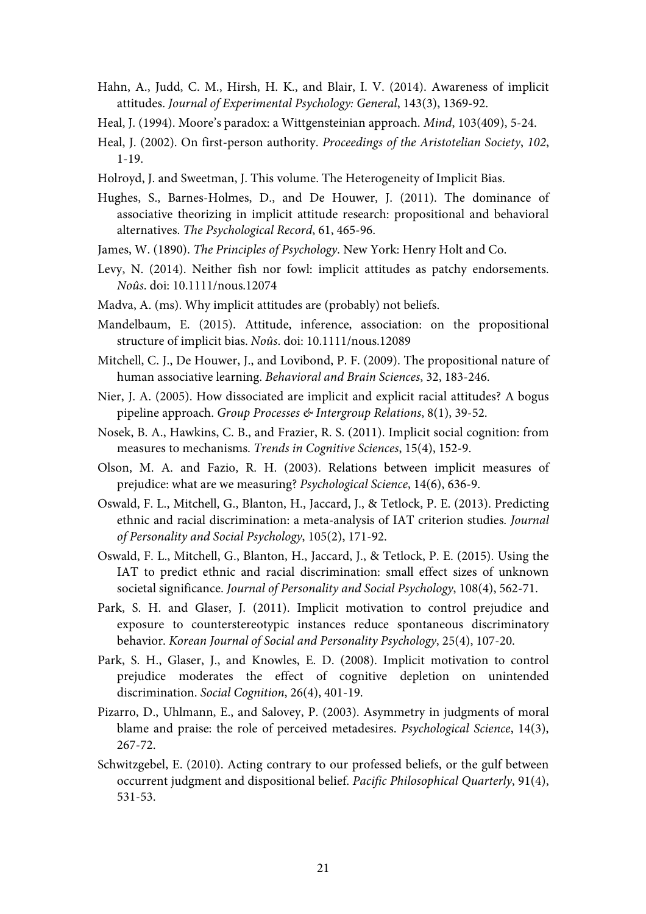- Hahn, A., Judd, C. M., Hirsh, H. K., and Blair, I. V. (2014). Awareness of implicit attitudes. Journal of Experimental Psychology: General, 143(3), 1369-92.
- Heal, J. (1994). Moore's paradox: a Wittgensteinian approach. Mind, 103(409), 5-24.
- Heal, J. (2002). On first-person authority. Proceedings of the Aristotelian Society, 102, 1-19.
- Holroyd, J. and Sweetman, J. This volume. The Heterogeneity of Implicit Bias.
- Hughes, S., Barnes-Holmes, D., and De Houwer, J. (2011). The dominance of associative theorizing in implicit attitude research: propositional and behavioral alternatives. The Psychological Record, 61, 465-96.
- James, W. (1890). The Principles of Psychology. New York: Henry Holt and Co.
- Levy, N. (2014). Neither fish nor fowl: implicit attitudes as patchy endorsements. Noûs. doi: 10.1111/nous.12074
- Madva, A. (ms). Why implicit attitudes are (probably) not beliefs.
- Mandelbaum, E. (2015). Attitude, inference, association: on the propositional structure of implicit bias. Noûs. doi: 10.1111/nous.12089
- Mitchell, C. J., De Houwer, J., and Lovibond, P. F. (2009). The propositional nature of human associative learning. Behavioral and Brain Sciences, 32, 183-246.
- Nier, J. A. (2005). How dissociated are implicit and explicit racial attitudes? A bogus pipeline approach. Group Processes & Intergroup Relations, 8(1), 39-52.
- Nosek, B. A., Hawkins, C. B., and Frazier, R. S. (2011). Implicit social cognition: from measures to mechanisms. Trends in Cognitive Sciences, 15(4), 152-9.
- Olson, M. A. and Fazio, R. H. (2003). Relations between implicit measures of prejudice: what are we measuring? Psychological Science, 14(6), 636-9.
- Oswald, F. L., Mitchell, G., Blanton, H., Jaccard, J., & Tetlock, P. E. (2013). Predicting ethnic and racial discrimination: a meta-analysis of IAT criterion studies. Journal of Personality and Social Psychology, 105(2), 171-92.
- Oswald, F. L., Mitchell, G., Blanton, H., Jaccard, J., & Tetlock, P. E. (2015). Using the IAT to predict ethnic and racial discrimination: small effect sizes of unknown societal significance. Journal of Personality and Social Psychology, 108(4), 562-71.
- Park, S. H. and Glaser, J. (2011). Implicit motivation to control prejudice and exposure to counterstereotypic instances reduce spontaneous discriminatory behavior. Korean Journal of Social and Personality Psychology, 25(4), 107-20.
- Park, S. H., Glaser, J., and Knowles, E. D. (2008). Implicit motivation to control prejudice moderates the effect of cognitive depletion on unintended discrimination. Social Cognition, 26(4), 401-19.
- Pizarro, D., Uhlmann, E., and Salovey, P. (2003). Asymmetry in judgments of moral blame and praise: the role of perceived metadesires. Psychological Science, 14(3), 267-72.
- Schwitzgebel, E. (2010). Acting contrary to our professed beliefs, or the gulf between occurrent judgment and dispositional belief. Pacific Philosophical Quarterly, 91(4), 531-53.